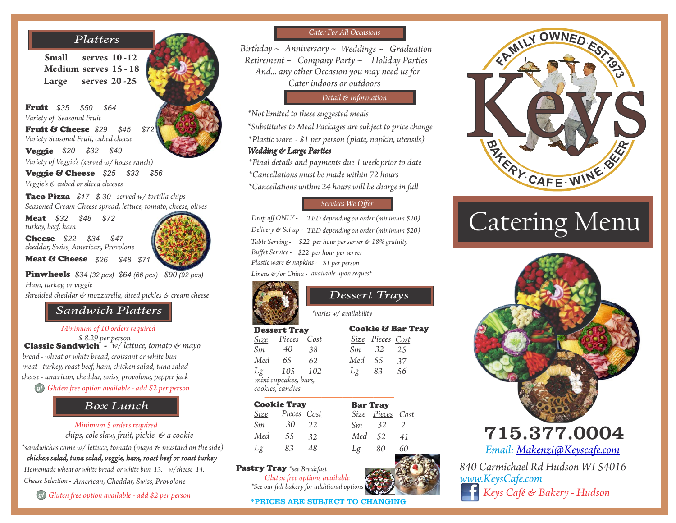# *Platters*

**Small serves 10 -12 Large serves 20 -25 Medium serves 15 - 18**

Fruit \$35 *Variety of Seasonal Fruit*  Fruit & Cheese *\$29 \$45 \$72 Variety Seasonal Fruit, cubed cheese*  Veggie *\$20 \$32 \$49 Variety of Veggie's (served w/ house ranch)* **Veggie & Cheese** \$25 \$33 \$56 *Veggie's & cubed or sliced cheeses \$35 \$50 \$64*

Taco Pizza *\$17 \$ 30 - served w/ tortilla chips Seasoned Cream Cheese spread, lettuce, tomato, cheese, olives*

Meat *\$32 \$48 \$72 turkey, beef, ham*

Cheese *\$22 \$34 \$47 cheddar, Swiss, American, Provolone* 

Meat & Cheese \$26 *\$26 \$48 \$71*



Pinwheels *\$34 (32 pcs) \$64 (66 pcs) \$90 (92 pcs) Ham, turkey, or veggie shredded cheddar & mozzarella, diced pickles & cream cheese*

## *Box lunch Sandwich Platters*

*Minimum of 10 orders required*

Classic Sandwich *- w/ lettuce, tomato & mayo meat - turkey, roast beef, ham, chicken salad, tuna salad cheese - american, cheddar, swiss, provolone, pepper jack bread - wheat or white bread, croissant or white bun \$ 8.29 per person gf Gluten free option available - add \$2 per person*

# *Box Lunch*

*Minimum 5 orders required Box lunch*

 *chips, cole slaw, fruit, pickle & a cookie chicken salad, tuna salad, veggie, ham, roast beef or roast turkey \*sandwiches come w/ lettuce, tomato (mayo & mustard on the side)* 

*Cheese Selection - American, Cheddar, Swiss, Provolone Homemade wheat or white bread or white bun 13. w/cheese 14.*

*gf Gluten free option available - add \$2 per person*

## *Cater For All Occasions*

*Birthday ~ Anniversary ~ Weddings ~ Graduation Retirement ~ Company Party ~ Holiday Parties And... any other Occasion you may need us for Cater indoors or outdoors*

#### *Detail & Information*

*\*Not limited to these suggested meals \*Substitutes to Meal Packages are subject to price change \*Plastic ware - \$1 per person (plate, napkin, utensils) Wedding & Large Parties*

*\*Final details and payments due 1 week prior to date \*Cancellations within 24 hours will be charge in full \*Cancellations must be made within 72 hours* 

## *Services We Offer*

 *Drop off ONLY - TBD depending on order (minimum \$20) Delivery & Set up - TBD depending on order (minimum \$20) Table Serving - \$22 per hour per server & 18% gratuity Buffet Service - \$22 per hour per server Plastic ware & napkins - \$1 per person Linens &/or China - available upon request*

*\*varies w/ availability*

*Dessert Trays*

*56*

*83*

*25*

## Dessert Tray

 *Sm 40*

 *Med*

 *Lg*



*mini cupcakes, bars, 102 105 cookies, candies*

| <b>Cookie Tray</b> |             |      | <b>Bar Tray</b> |                  |    |
|--------------------|-------------|------|-----------------|------------------|----|
| Size               | Pieces Cost |      |                 | Size Pieces Cost |    |
| Sm                 | 30          | 2.2. | Sm.             | -32              |    |
| Med                | 55          | 32   | Med 52          |                  | 41 |
| Lg                 | 83          | 48   | Lφ              | 80               | 60 |

Pastry Tray *\*see Breakfast* 

*\*See our full bakery for additional options Gluten free options available* 

\*PRICES ARE SUBJECT TO CHANGING



# Catering Menu



*Email: [Makenzi@Keyscafe.com](mailto:Makenzi@Keyscafe.com)*

*840 Carmichael Rd Hudson WI 54016 www.KeysCafe.com Keys Café & Bakery - Hudson*